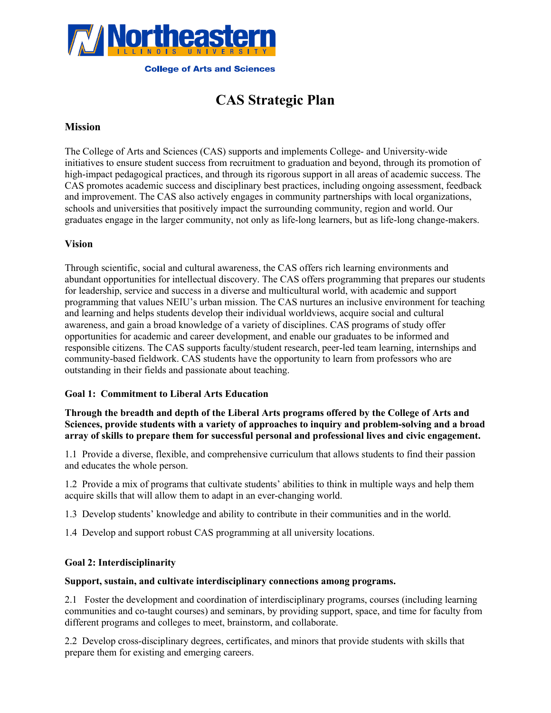

# **CAS Strategic Plan**

# **Mission**

The College of Arts and Sciences (CAS) supports and implements College- and University-wide initiatives to ensure student success from recruitment to graduation and beyond, through its promotion of high-impact pedagogical practices, and through its rigorous support in all areas of academic success. The CAS promotes academic success and disciplinary best practices, including ongoing assessment, feedback and improvement. The CAS also actively engages in community partnerships with local organizations, schools and universities that positively impact the surrounding community, region and world. Our graduates engage in the larger community, not only as life-long learners, but as life-long change-makers.

# **Vision**

Through scientific, social and cultural awareness, the CAS offers rich learning environments and abundant opportunities for intellectual discovery. The CAS offers programming that prepares our students for leadership, service and success in a diverse and multicultural world, with academic and support programming that values NEIU's urban mission. The CAS nurtures an inclusive environment for teaching and learning and helps students develop their individual worldviews, acquire social and cultural awareness, and gain a broad knowledge of a variety of disciplines. CAS programs of study offer opportunities for academic and career development, and enable our graduates to be informed and responsible citizens. The CAS supports faculty/student research, peer-led team learning, internships and community-based fieldwork. CAS students have the opportunity to learn from professors who are outstanding in their fields and passionate about teaching.

#### **Goal 1: Commitment to Liberal Arts Education**

## **Through the breadth and depth of the Liberal Arts programs offered by the College of Arts and Sciences, provide students with a variety of approaches to inquiry and problem-solving and a broad array of skills to prepare them for successful personal and professional lives and civic engagement.**

1.1 Provide a diverse, flexible, and comprehensive curriculum that allows students to find their passion and educates the whole person.

1.2 Provide a mix of programs that cultivate students' abilities to think in multiple ways and help them acquire skills that will allow them to adapt in an ever-changing world.

1.3 Develop students' knowledge and ability to contribute in their communities and in the world.

1.4 Develop and support robust CAS programming at all university locations.

#### **Goal 2: Interdisciplinarity**

#### **Support, sustain, and cultivate interdisciplinary connections among programs.**

2.1 Foster the development and coordination of interdisciplinary programs, courses (including learning communities and co-taught courses) and seminars, by providing support, space, and time for faculty from different programs and colleges to meet, brainstorm, and collaborate.

2.2 Develop cross-disciplinary degrees, certificates, and minors that provide students with skills that prepare them for existing and emerging careers.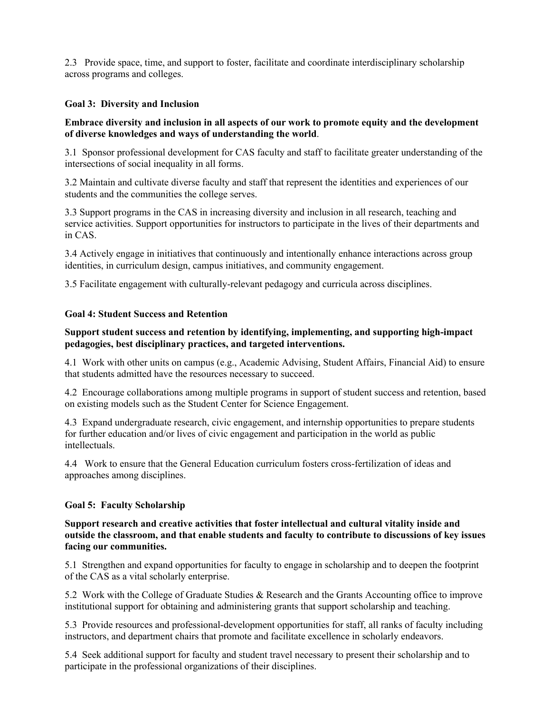2.3 Provide space, time, and support to foster, facilitate and coordinate interdisciplinary scholarship across programs and colleges.

# **Goal 3: Diversity and Inclusion**

# **Embrace diversity and inclusion in all aspects of our work to promote equity and the development of diverse knowledges and ways of understanding the world**.

3.1 Sponsor professional development for CAS faculty and staff to facilitate greater understanding of the intersections of social inequality in all forms.

3.2 Maintain and cultivate diverse faculty and staff that represent the identities and experiences of our students and the communities the college serves.

3.3 Support programs in the CAS in increasing diversity and inclusion in all research, teaching and service activities. Support opportunities for instructors to participate in the lives of their departments and in CAS.

3.4 Actively engage in initiatives that continuously and intentionally enhance interactions across group identities, in curriculum design, campus initiatives, and community engagement.

3.5 Facilitate engagement with culturally-relevant pedagogy and curricula across disciplines.

#### **Goal 4: Student Success and Retention**

# **Support student success and retention by identifying, implementing, and supporting high-impact pedagogies, best disciplinary practices, and targeted interventions.**

4.1 Work with other units on campus (e.g., Academic Advising, Student Affairs, Financial Aid) to ensure that students admitted have the resources necessary to succeed.

4.2 Encourage collaborations among multiple programs in support of student success and retention, based on existing models such as the Student Center for Science Engagement.

4.3 Expand undergraduate research, civic engagement, and internship opportunities to prepare students for further education and/or lives of civic engagement and participation in the world as public intellectuals.

4.4 Work to ensure that the General Education curriculum fosters cross-fertilization of ideas and approaches among disciplines.

#### **Goal 5: Faculty Scholarship**

#### **Support research and creative activities that foster intellectual and cultural vitality inside and outside the classroom, and that enable students and faculty to contribute to discussions of key issues facing our communities.**

5.1 Strengthen and expand opportunities for faculty to engage in scholarship and to deepen the footprint of the CAS as a vital scholarly enterprise.

5.2 Work with the College of Graduate Studies & Research and the Grants Accounting office to improve institutional support for obtaining and administering grants that support scholarship and teaching.

5.3 Provide resources and professional-development opportunities for staff, all ranks of faculty including instructors, and department chairs that promote and facilitate excellence in scholarly endeavors.

5.4 Seek additional support for faculty and student travel necessary to present their scholarship and to participate in the professional organizations of their disciplines.